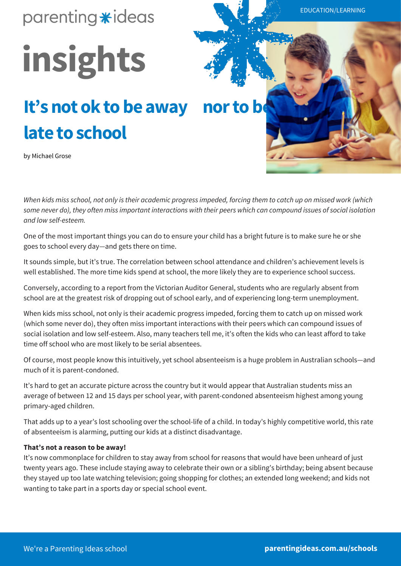### parenting \*ideas

# **insights**

## It's not ok to be away nor to be **late to school**

by Michael Grose



*When kids miss school, not only is their academic progress impeded, forcing them to catch up on missed work (which some never do), they often miss important interactions with their peers which can compound issues of social isolation and low self-esteem.*

One of the most important things you can do to ensure your child has a bright future is to make sure he or she goes to school every day—and gets there on time.

It sounds simple, but it's true. The correlation between school attendance and children's achievement levels is well established. The more time kids spend at school, the more likely they are to experience school success.

Conversely, according to a report from the Victorian Auditor General, students who are regularly absent from school are at the greatest risk of dropping out of school early, and of experiencing long-term unemployment.

When kids miss school, not only is their academic progress impeded, forcing them to catch up on missed work (which some never do), they often miss important interactions with their peers which can compound issues of social isolation and low self-esteem. Also, many teachers tell me, it's often the kids who can least afford to take time off school who are most likely to be serial absentees.

Of course, most people know this intuitively, yet school absenteeism is a huge problem in Australian schools—and much of it is parent-condoned.

It's hard to get an accurate picture across the country but it would appear that Australian students miss an average of between 12 and 15 days per school year, with parent-condoned absenteeism highest among young primary-aged children.

That adds up to a year's lost schooling over the school-life of a child. In today's highly competitive world, this rate of absenteeism is alarming, putting our kids at a distinct disadvantage.

### **That's not a reason to be away!**

It's now commonplace for children to stay away from school for reasons that would have been unheard of just twenty years ago. These include staying away to celebrate their own or a sibling's birthday; being absent because they stayed up too late watching television; going shopping for clothes; an extended long weekend; and kids not wanting to take part in a sports day or special school event.